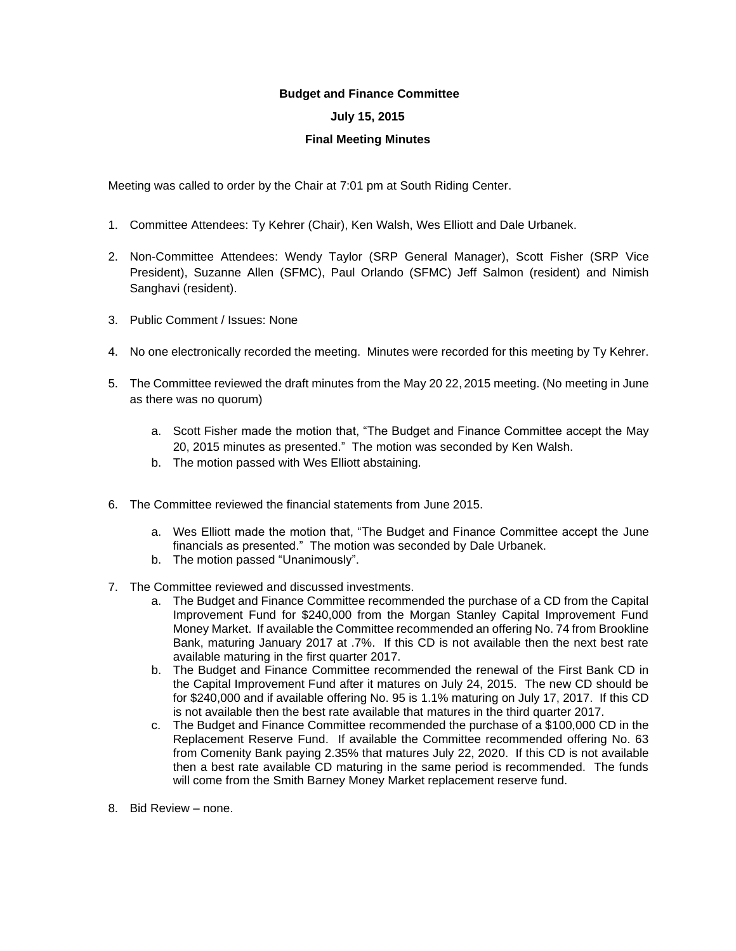## **Budget and Finance Committee**

## **July 15, 2015**

## **Final Meeting Minutes**

Meeting was called to order by the Chair at 7:01 pm at South Riding Center.

- 1. Committee Attendees: Ty Kehrer (Chair), Ken Walsh, Wes Elliott and Dale Urbanek.
- 2. Non-Committee Attendees: Wendy Taylor (SRP General Manager), Scott Fisher (SRP Vice President), Suzanne Allen (SFMC), Paul Orlando (SFMC) Jeff Salmon (resident) and Nimish Sanghavi (resident).
- 3. Public Comment / Issues: None
- 4. No one electronically recorded the meeting. Minutes were recorded for this meeting by Ty Kehrer.
- 5. The Committee reviewed the draft minutes from the May 20 22, 2015 meeting. (No meeting in June as there was no quorum)
	- a. Scott Fisher made the motion that, "The Budget and Finance Committee accept the May 20, 2015 minutes as presented." The motion was seconded by Ken Walsh.
	- b. The motion passed with Wes Elliott abstaining.
- 6. The Committee reviewed the financial statements from June 2015.
	- a. Wes Elliott made the motion that, "The Budget and Finance Committee accept the June financials as presented." The motion was seconded by Dale Urbanek.
	- b. The motion passed "Unanimously".
- 7. The Committee reviewed and discussed investments.
	- a. The Budget and Finance Committee recommended the purchase of a CD from the Capital Improvement Fund for \$240,000 from the Morgan Stanley Capital Improvement Fund Money Market. If available the Committee recommended an offering No. 74 from Brookline Bank, maturing January 2017 at .7%. If this CD is not available then the next best rate available maturing in the first quarter 2017.
	- b. The Budget and Finance Committee recommended the renewal of the First Bank CD in the Capital Improvement Fund after it matures on July 24, 2015. The new CD should be for \$240,000 and if available offering No. 95 is 1.1% maturing on July 17, 2017. If this CD is not available then the best rate available that matures in the third quarter 2017.
	- c. The Budget and Finance Committee recommended the purchase of a \$100,000 CD in the Replacement Reserve Fund. If available the Committee recommended offering No. 63 from Comenity Bank paying 2.35% that matures July 22, 2020. If this CD is not available then a best rate available CD maturing in the same period is recommended. The funds will come from the Smith Barney Money Market replacement reserve fund.
- 8. Bid Review none.